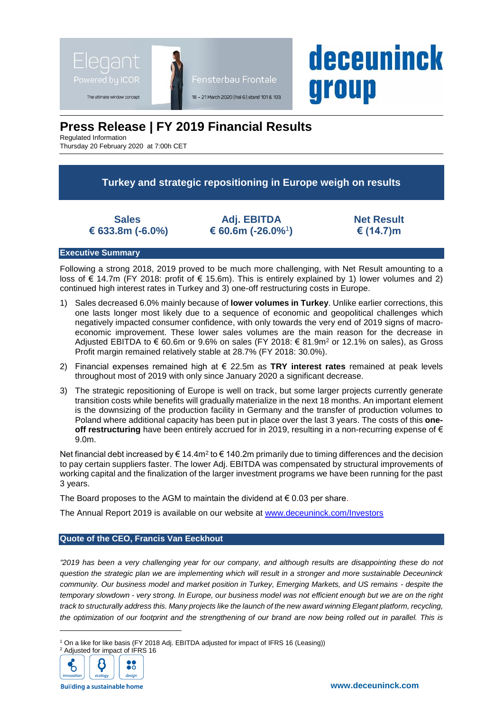

# **Press Release | FY 2019 Financial Results**

Regulated Information

Thursday 20 February 2020 at 7:00h CET

**Turkey and strategic repositioning in Europe weigh on results**

**Sales € 633.8m (-6.0%)**

**Adj. EBITDA € 60.6m (-26.0%**<sup>1</sup> **)** **Net Result € (14.7)m**

**deceuninck** 

group

### **Executive Summary**

Following a strong 2018, 2019 proved to be much more challenging, with Net Result amounting to a loss of € 14.7m (FY 2018: profit of € 15.6m). This is entirely explained by 1) lower volumes and 2) continued high interest rates in Turkey and 3) one-off restructuring costs in Europe.

- 1) Sales decreased 6.0% mainly because of **lower volumes in Turkey**. Unlike earlier corrections, this one lasts longer most likely due to a sequence of economic and geopolitical challenges which negatively impacted consumer confidence, with only towards the very end of 2019 signs of macroeconomic improvement. These lower sales volumes are the main reason for the decrease in Adjusted EBITDA to € 60.6m or 9.6% on sales (FY 2018: € 81.9m<sup>2</sup> or 12.1% on sales), as Gross Profit margin remained relatively stable at 28.7% (FY 2018: 30.0%).
- 2) Financial expenses remained high at € 22.5m as **TRY interest rates** remained at peak levels throughout most of 2019 with only since January 2020 a significant decrease.
- 3) The strategic repositioning of Europe is well on track, but some larger projects currently generate transition costs while benefits will gradually materialize in the next 18 months. An important element is the downsizing of the production facility in Germany and the transfer of production volumes to Poland where additional capacity has been put in place over the last 3 years. The costs of this **oneoff restructuring** have been entirely accrued for in 2019, resulting in a non-recurring expense of € 9.0m.

Net financial debt increased by € 14.4m<sup>2</sup> to € 140.2m primarily due to timing differences and the decision to pay certain suppliers faster. The lower Adj. EBITDA was compensated by structural improvements of working capital and the finalization of the larger investment programs we have been running for the past 3 years.

The Board proposes to the AGM to maintain the dividend at  $\epsilon$  0.03 per share.

The Annual Report 2019 is available on our website at [www.deceuninck.com/Investors](http://www.deceuninck.com/Investors)

# **Quote of the CEO, Francis Van Eeckhout**

*"2019 has been a very challenging year for our company, and although results are disappointing these do not question the strategic plan we are implementing which will result in a stronger and more sustainable Deceuninck community. Our business model and market position in Turkey, Emerging Markets, and US remains - despite the temporary slowdown - very strong. In Europe, our business model was not efficient enough but we are on the right track to structurally address this. Many projects like the launch of the new award winning Elegant platform, recycling, the optimization of our footprint and the strengthening of our brand are now being rolled out in parallel. This is* 

<sup>&</sup>lt;sup>1</sup> On a like for like basis (FY 2018 Adj. EBITDA adjusted for impact of IFRS 16 (Leasing))



l

**Building a sustainable home**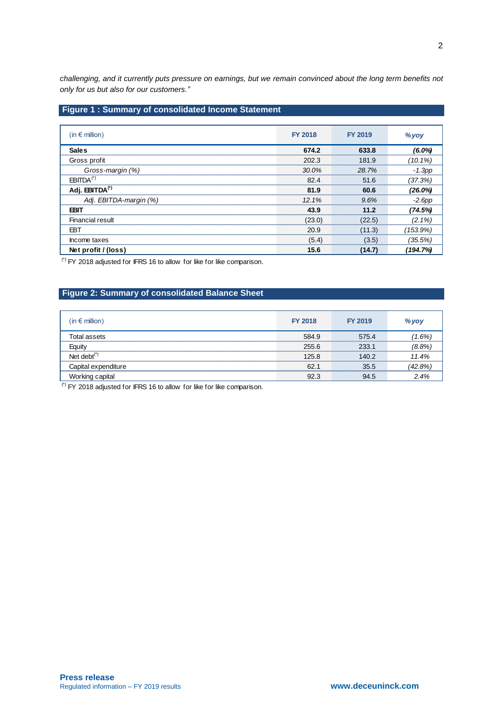*challenging, and it currently puts pressure on earnings, but we remain convinced about the long term benefits not only for us but also for our customers."*

# **Figure 1 : Summary of consolidated Income Statement**

| (in $\epsilon$ million)    | <b>FY 2018</b> | <b>FY 2019</b> | % yoy      |
|----------------------------|----------------|----------------|------------|
| <b>Sales</b>               | 674.2          | 633.8          | $(6.0\%)$  |
| Gross profit               | 202.3          | 181.9          | $(10.1\%)$ |
| Gross-margin (%)           | 30.0%          | 28.7%          | $-1.3$ pp  |
| $EBITDA(*)$                | 82.4           | 51.6           | (37.3%)    |
| Adj. EBITDA <sup>(*)</sup> | 81.9           | 60.6           | $(26.0\%)$ |
| Adj. EBITDA-margin (%)     | 12.1%          | 9.6%           | $-2.6$ pp  |
| FRI                        | 43.9           | 11 2           | (74.5%)    |
| <b>Financial result</b>    | (23.0)         | (22.5)         | $(2.1\%)$  |
| <b>EBT</b>                 | 20.9           | (11.3)         | (153.9%)   |
| Income taxes               | (5.4)          | (3.5)          | (35.5%)    |
| Net profit / (loss)        | 15.6           | (14.7)         | (194.7%)   |

(\*) FY 2018 adjusted for IFRS 16 to allow for like for like comparison.

# **Figure 2: Summary of consolidated Balance Sheet**

| $(in \in$ million)      | <b>FY 2018</b> | <b>FY 2019</b> | % yoy                                  |
|-------------------------|----------------|----------------|----------------------------------------|
| Гоtal assets            | 584.9          | 575.4          | $1.6\%$<br>*************************** |
| Eauitv                  | 255.6          | 233.1          | (8.8%)                                 |
| Net debt $\mathfrak{c}$ | 125.8          | 140.2          | 11.4%                                  |
| Capital expenditure     | 62.            | 35.5           | (42.8%)                                |
| Working capital         | 92.3           | 94.5           | 2.4%                                   |

 $(6)$  FY 2018 adjusted for IFRS 16 to allow for like for like comparison.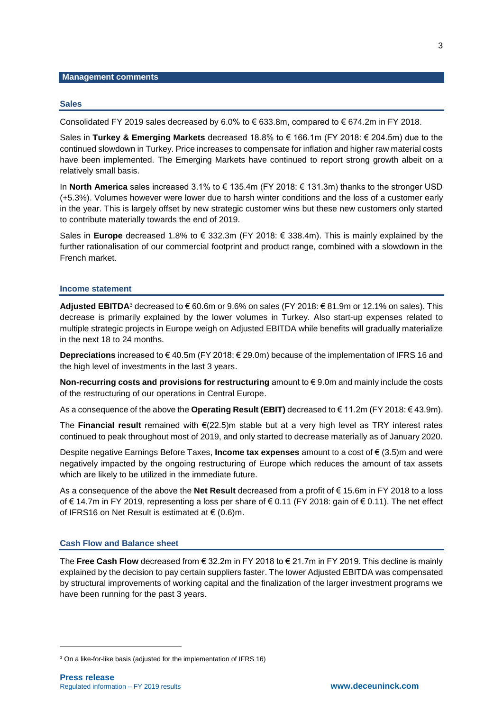### **Management comments**

#### **Sales**

Consolidated FY 2019 sales decreased by 6.0% to  $\epsilon$  633.8m, compared to  $\epsilon$  674.2m in FY 2018.

Sales in **Turkey & Emerging Markets** decreased 18.8% to € 166.1m (FY 2018: € 204.5m) due to the continued slowdown in Turkey. Price increases to compensate for inflation and higher raw material costs have been implemented. The Emerging Markets have continued to report strong growth albeit on a relatively small basis.

In **North America** sales increased 3.1% to € 135.4m (FY 2018: € 131.3m) thanks to the stronger USD (+5.3%). Volumes however were lower due to harsh winter conditions and the loss of a customer early in the year. This is largely offset by new strategic customer wins but these new customers only started to contribute materially towards the end of 2019.

Sales in **Europe** decreased 1.8% to € 332.3m (FY 2018: € 338.4m). This is mainly explained by the further rationalisation of our commercial footprint and product range, combined with a slowdown in the French market.

#### **Income statement**

**Adjusted EBITDA**<sup>3</sup> decreased to € 60.6m or 9.6% on sales (FY 2018: € 81.9m or 12.1% on sales). This decrease is primarily explained by the lower volumes in Turkey. Also start-up expenses related to multiple strategic projects in Europe weigh on Adjusted EBITDA while benefits will gradually materialize in the next 18 to 24 months.

**Depreciations** increased to € 40.5m (FY 2018: € 29.0m) because of the implementation of IFRS 16 and the high level of investments in the last 3 years.

**Non-recurring costs and provisions for restructuring** amount to € 9.0m and mainly include the costs of the restructuring of our operations in Central Europe.

As a consequence of the above the **Operating Result (EBIT)** decreased to € 11.2m (FY 2018: € 43.9m).

The **Financial result** remained with €(22.5)m stable but at a very high level as TRY interest rates continued to peak throughout most of 2019, and only started to decrease materially as of January 2020.

Despite negative Earnings Before Taxes, **Income tax expenses** amount to a cost of € (3.5)m and were negatively impacted by the ongoing restructuring of Europe which reduces the amount of tax assets which are likely to be utilized in the immediate future.

As a consequence of the above the **Net Result** decreased from a profit of € 15.6m in FY 2018 to a loss of € 14.7m in FY 2019, representing a loss per share of € 0.11 (FY 2018: gain of € 0.11). The net effect of IFRS16 on Net Result is estimated at  $\in$  (0.6)m.

#### **Cash Flow and Balance sheet**

The **Free Cash Flow** decreased from € 32.2m in FY 2018 to € 21.7m in FY 2019. This decline is mainly explained by the decision to pay certain suppliers faster. The lower Adjusted EBITDA was compensated by structural improvements of working capital and the finalization of the larger investment programs we have been running for the past 3 years.

l

<sup>&</sup>lt;sup>3</sup> On a like-for-like basis (adjusted for the implementation of IFRS 16)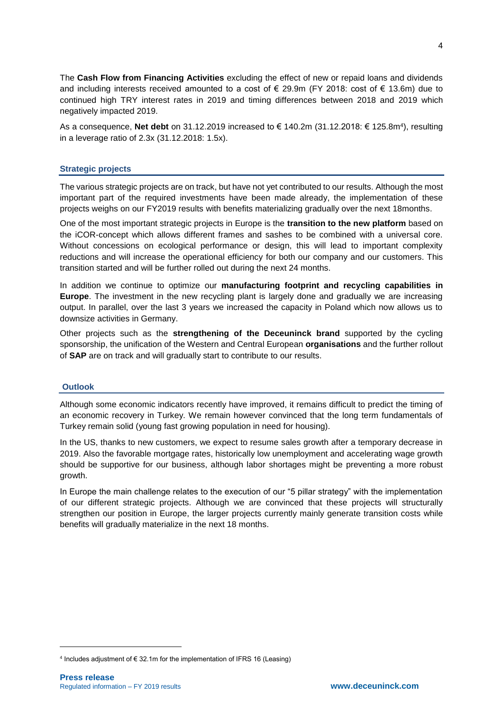The **Cash Flow from Financing Activities** excluding the effect of new or repaid loans and dividends and including interests received amounted to a cost of  $\epsilon$  29.9m (FY 2018: cost of  $\epsilon$  13.6m) due to continued high TRY interest rates in 2019 and timing differences between 2018 and 2019 which negatively impacted 2019.

As a consequence, **Net debt** on 31.12.2019 increased to € 140.2m (31.12.2018: € 125.8m<sup>4</sup> ), resulting in a leverage ratio of 2.3x (31.12.2018: 1.5x).

# **Strategic projects**

The various strategic projects are on track, but have not yet contributed to our results. Although the most important part of the required investments have been made already, the implementation of these projects weighs on our FY2019 results with benefits materializing gradually over the next 18months.

One of the most important strategic projects in Europe is the **transition to the new platform** based on the iCOR-concept which allows different frames and sashes to be combined with a universal core. Without concessions on ecological performance or design, this will lead to important complexity reductions and will increase the operational efficiency for both our company and our customers. This transition started and will be further rolled out during the next 24 months.

In addition we continue to optimize our **manufacturing footprint and recycling capabilities in Europe**. The investment in the new recycling plant is largely done and gradually we are increasing output. In parallel, over the last 3 years we increased the capacity in Poland which now allows us to downsize activities in Germany.

Other projects such as the **strengthening of the Deceuninck brand** supported by the cycling sponsorship, the unification of the Western and Central European **organisations** and the further rollout of **SAP** are on track and will gradually start to contribute to our results.

# **Outlook**

Although some economic indicators recently have improved, it remains difficult to predict the timing of an economic recovery in Turkey. We remain however convinced that the long term fundamentals of Turkey remain solid (young fast growing population in need for housing).

In the US, thanks to new customers, we expect to resume sales growth after a temporary decrease in 2019. Also the favorable mortgage rates, historically low unemployment and accelerating wage growth should be supportive for our business, although labor shortages might be preventing a more robust growth.

In Europe the main challenge relates to the execution of our "5 pillar strategy" with the implementation of our different strategic projects. Although we are convinced that these projects will structurally strengthen our position in Europe, the larger projects currently mainly generate transition costs while benefits will gradually materialize in the next 18 months.

l

<sup>&</sup>lt;sup>4</sup> Includes adjustment of € 32.1m for the implementation of IFRS 16 (Leasing)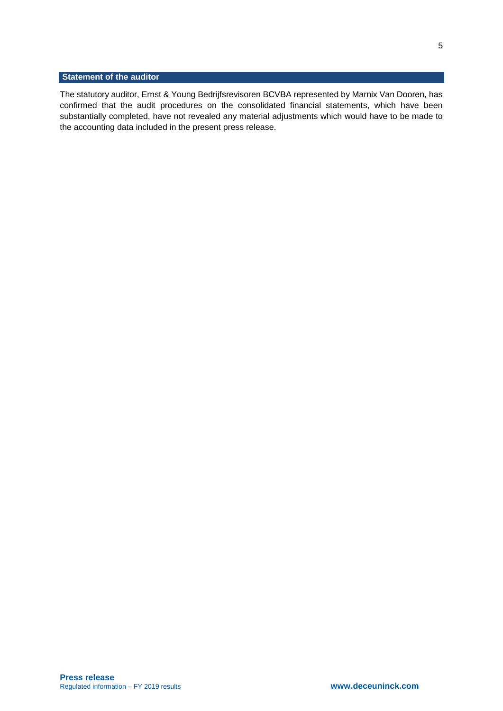# **Statement of the auditor**

The statutory auditor, Ernst & Young Bedrijfsrevisoren BCVBA represented by Marnix Van Dooren, has confirmed that the audit procedures on the consolidated financial statements, which have been substantially completed, have not revealed any material adjustments which would have to be made to the accounting data included in the present press release.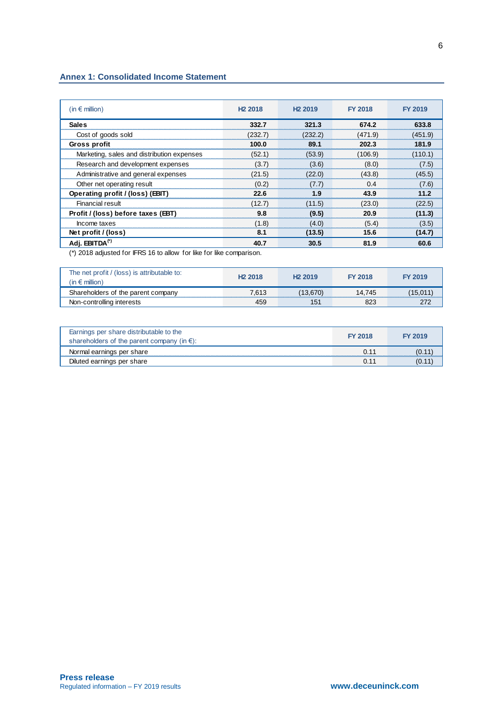## **Annex 1: Consolidated Income Statement**

| (in $\epsilon$ million)                    | H <sub>2</sub> 2018 | H <sub>2</sub> 2019 | <b>FY 2018</b> | <b>FY 2019</b> |
|--------------------------------------------|---------------------|---------------------|----------------|----------------|
| <b>Sales</b>                               | 332.7               | 321.3               | 674.2          | 633.8          |
| Cost of goods sold                         | (232.7)             | (232.2)             | (471.9)        | (451.9)        |
| Gross profit                               | 100.0               | 89.1                | 202.3          | 181.9          |
| Marketing, sales and distribution expenses | (52.1)              | (53.9)              | (106.9)        | (110.1)        |
| Research and development expenses          | (3.7)               | (3.6)               | (8.0)          | (7.5)          |
| Administrative and general expenses        | (21.5)              | (22.0)              | (43.8)         | (45.5)         |
| Other net operating result                 | (0.2)               | (7.7)               | 0.4            | (7.6)          |
| Operating profit / (loss) (EBIT)           | 22.6                | 1.9                 | 43.9           | 11.2           |
| <b>Financial result</b>                    | (12.7)              | (11.5)              | (23.0)         | (22.5)         |
| Profit / (loss) before taxes (EBT)         | 9.8                 | (9.5)               | 20.9           | (11.3)         |
| Income taxes                               | (1.8)               | (4.0)               | (5.4)          | (3.5)          |
| Net profit / (loss)                        | 8.1                 | (13.5)              | 15.6           | (14.7)         |
| Adj. EBITDA <sup>(*)</sup>                 | 40.7                | 30.5                | 81.9           | 60.6           |

(\*) 2018 adjusted for IFRS 16 to allow for like for like comparison.

| The net profit / (loss) is attributable to:<br>$\mathsf{in} \in \mathsf{million}$ | H <sub>2</sub> 2018 | H <sub>2</sub> 2019 | <b>FY 2018</b> | <b>FY 2019</b> |
|-----------------------------------------------------------------------------------|---------------------|---------------------|----------------|----------------|
| Shareholders of the parent company                                                | 7.613               |                     | 14.745         |                |
| Non-controlling interests                                                         |                     |                     |                |                |

| Earnings per share distributable to the<br>shareholders of the parent company (in $\epsilon$ ): | <b>FY 2018</b> | <b>FY 2019</b> |
|-------------------------------------------------------------------------------------------------|----------------|----------------|
| Normal earnings per share                                                                       |                | 10.            |
| Diluted earnings per share                                                                      |                | 10.            |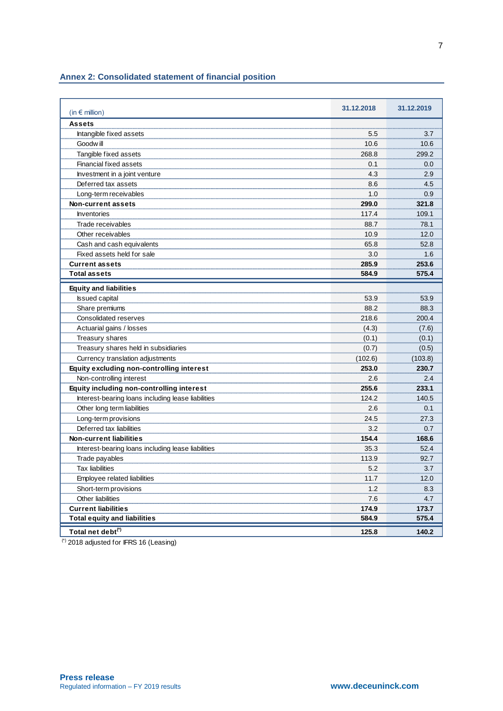# **Annex 2: Consolidated statement of financial position**

| (in $\epsilon$ million)                            | 31.12.2018 | 31.12.2019 |
|----------------------------------------------------|------------|------------|
| <b>Assets</b>                                      |            |            |
| Intangible fixed assets                            | 5.5        | 3.7        |
| Goodw ill                                          | 10.6       | 10.6       |
| Tangible fixed assets                              | 268.8      | 299.2      |
| <b>Financial fixed assets</b>                      | 0.1        | 0.0        |
| Investment in a joint venture                      | 4.3        | 2.9        |
| Deferred tax assets                                | 8.6        | 4.5        |
| Long-term receivables                              | 1.0        | 0.9        |
| Non-current assets                                 | 299.0      | 321.8      |
| <b>Inventories</b>                                 | 117.4      | 109.1      |
| Trade receivables                                  | 88.7       | 78.1       |
| Other receivables                                  | 10.9       | 12.0       |
| Cash and cash equivalents                          | 65.8       | 52.8       |
| Fixed assets held for sale                         | 3.0        | 1.6        |
| <b>Current assets</b>                              | 285.9      | 253.6      |
| <b>Total assets</b>                                | 584.9      | 575.4      |
| <b>Equity and liabilities</b>                      |            |            |
| <b>Issued capital</b>                              | 53.9       | 53.9       |
| Share premiums                                     | 88.2       | 88.3       |
| Consolidated reserves                              | 218.6      | 200.4      |
| Actuarial gains / losses                           | (4.3)      | (7.6)      |
| <b>Treasury shares</b>                             | (0.1)      | (0.1)      |
| Treasury shares held in subsidiaries               | (0.7)      | (0.5)      |
| Currency translation adjustments                   | (102.6)    | (103.8)    |
| Equity excluding non-controlling interest          | 253.0      | 230.7      |
| Non-controlling interest                           | 2.6        | 2.4        |
| Equity including non-controlling interest          | 255.6      | 233.1      |
| Interest-bearing loans including lease liabilities | 124.2      | 140.5      |
| Other long term liabilities                        | 2.6        | 0.1        |
| Long-term provisions                               | 24.5       | 27.3       |
| Deferred tax liabilities                           | 3.2        | 0.7        |
| <b>Non-current liabilities</b>                     | 154.4      | 168.6      |
| Interest-bearing loans including lease liabilities | 35.3       | 52.4       |
| Trade payables                                     | 113.9      | 92.7       |
| <b>Tax liabilities</b>                             | 5.2        | 3.7        |
| Employee related liabilities                       | 11.7       | 12.0       |
| Short-term provisions                              | 1.2        | 8.3        |
| Other liabilities                                  | 7.6        | 4.7        |
| <b>Current liabilities</b>                         | 174.9      | 173.7      |
| <b>Total equity and liabilities</b>                | 584.9      | 575.4      |
| Total net debt <sup>(*)</sup>                      | 125.8      | 140.2      |

(\*) 2018 adjusted for IFRS 16 (Leasing)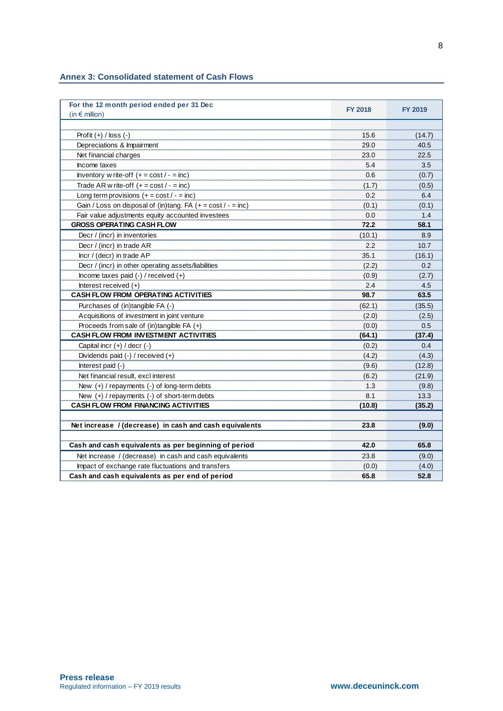| <b>Annex 3: Consolidated statement of Cash Flows</b> |  |  |  |
|------------------------------------------------------|--|--|--|
|------------------------------------------------------|--|--|--|

| For the 12 month period ended per 31 Dec<br>$(in \in m$ illion) | <b>FY 2018</b> | <b>FY 2019</b> |
|-----------------------------------------------------------------|----------------|----------------|
|                                                                 |                |                |
| Profit $(+)$ / loss $(-)$                                       | 15.6           | (14.7)         |
| Depreciations & Impairment                                      | 29.0           | 40.5           |
| Net financial charges                                           | 23.0           | 22.5           |
| Income taxes                                                    | 5.4            | 3.5            |
| Inventory w rite-off $(+ = \cos t / - = \text{inc})$            | 0.6            | (0.7)          |
| Trade AR w rite-off $(+ = \text{cost}/ - = \text{inc})$         | (1.7)          | (0.5)          |
| Long term provisions $(+ = \text{cost}/ - = \text{inc})$        | 0.2            | 6.4            |
| Gain / Loss on disposal of (in)tang. FA $(+ = cost / - = inc)$  | (0.1)          | (0.1)          |
| Fair value adjustments equity accounted investees               | 0.0            | 1.4            |
| <b>GROSS OPERATING CASH FLOW</b>                                | 72.2           | 58.1           |
| Decr / (incr) in inventories                                    | (10.1)         | 8.9            |
| Decr / (incr) in trade AR                                       | 2.2            | 10.7           |
| Incr / (decr) in trade AP                                       | 35.1           | (16.1)         |
| Decr / (incr) in other operating assets/liabilities             | (2.2)          | 0.2            |
| Income taxes paid $(-)$ / received $(+)$                        | (0.9)          | (2.7)          |
| Interest received $(+)$                                         | 2.4            | 4.5            |
| <b>CASH FLOW FROM OPERATING ACTIVITIES</b>                      | 98.7           | 63.5           |
| Purchases of (in)tangible FA (-)                                | (62.1)         | (35.5)         |
| Acquisitions of investment in joint venture                     | (2.0)          | (2.5)          |
| Proceeds from sale of $(in)$ tangible FA $(+)$                  | (0.0)          | 0.5            |
| <b>CASH FLOW FROM INVESTMENT ACTIVITIES</b>                     | (64.1)         | (37.4)         |
| Capital incr $(+)$ / decr $(-)$                                 | (0.2)          | 0.4            |
| Dividends paid (-) / received (+)                               | (4.2)          | (4.3)          |
| Interest paid (-)                                               | (9.6)          | (12.8)         |
| Net financial result, excl interest                             | (6.2)          | (21.9)         |
| New $(+)$ / repayments $(-)$ of long-term debts                 | 1.3            | (9.8)          |
| New (+) / repayments (-) of short-term debts                    | 8.1            | 13.3           |
| <b>CASH FLOW FROM FINANCING ACTIVITIES</b>                      | (10.8)         | (35.2)         |
|                                                                 |                |                |
| Net increase / (decrease) in cash and cash equivalents          | 23.8           | (9.0)          |
| Cash and cash equivalents as per beginning of period            | 42.0           | 65.8           |
| Net increase / (decrease) in cash and cash equivalents          | 23.8           | (9.0)          |
| Impact of exchange rate fluctuations and transfers              | (0.0)          | (4.0)          |
| Cash and cash equivalents as per end of period                  | 65.8           | 52.8           |